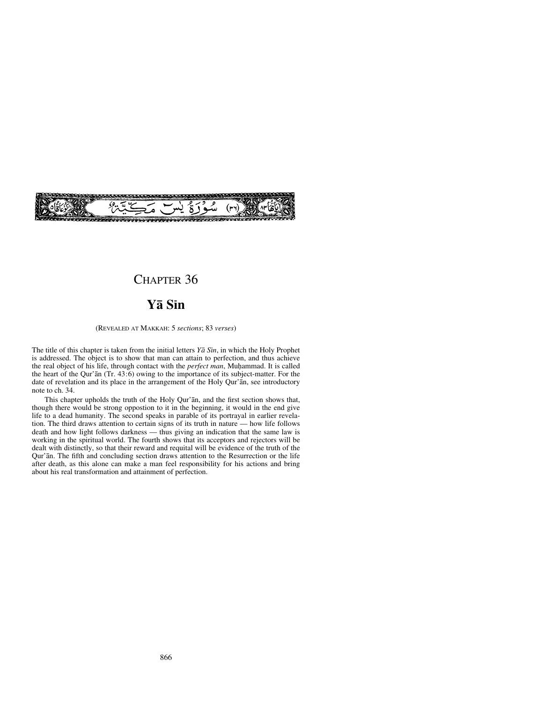

## CHAPTER 36

# **Yå Sßn**

#### (REVEALED AT MAKKAH: 5 *sections*; 83 *verses*)

The title of this chapter is taken from the initial letters *Yå Sßn*, in which the Holy Prophet is addressed. The object is to show that man can attain to perfection, and thus achieve the real object of his life, through contact with the *perfect man*, Muƒammad. It is called the heart of the Qur'ån (Tr. 43:6) owing to the importance of its subject-matter. For the date of revelation and its place in the arrangement of the Holy Qur'an, see introductory note to ch. 34.

This chapter upholds the truth of the Holy Qur'ån, and the first section shows that, though there would be strong oppostion to it in the beginning, it would in the end give life to a dead humanity. The second speaks in parable of its portrayal in earlier revelation. The third draws attention to certain signs of its truth in nature — how life follows death and how light follows darkness — thus giving an indication that the same law is working in the spiritual world. The fourth shows that its acceptors and rejectors will be dealt with distinctly, so that their reward and requital will be evidence of the truth of the Qur'ån. The fifth and concluding section draws attention to the Resurrection or the life after death, as this alone can make a man feel responsibility for his actions and bring about his real transformation and attainment of perfection.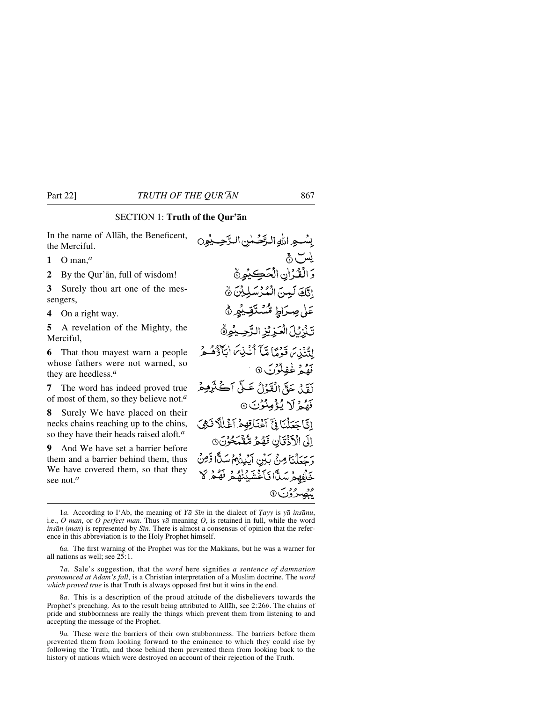### SECTION 1: **Truth of the Qur'ån**

In the name of Allåh, the Beneficent, the Merciful.

- **1** O man,*<sup>a</sup>*
- **2** By the Qur'ån, full of wisdom!

**3** Surely thou art one of the messengers,

**4** On a right way.

**5** A revelation of the Mighty, the Merciful,

**6** That thou mayest warn a people whose fathers were not warned, so they are heedless.*<sup>a</sup>*

**7** The word has indeed proved true of most of them, so they believe not.*<sup>a</sup>*

**8** Surely We have placed on their necks chains reaching up to the chins, so they have their heads raised aloft.*<sup>a</sup>*

**9** And We have set a barrier before them and a barrier behind them, thus We have covered them, so that they see not.*<sup>a</sup>*

بِينْبِهِ اللَّهُ البِّحْسِلِينِ البَّحِسِيْمِرِي يس ٿي وَالْقُرْانِ الْحَكِيْمِيُّ اتَّكَ لَعِينَ الْمُؤْسَلِيْنَ نَّ عَلٰى صِرَاطِ مُّسۡتَقِيۡهِ ۚ ﴾ تَذَرُّلَ الْعَزِيْزِ الرَّحِيْهِ هُ لِتُنۡنَيۡ قَدۡمَمَآ قَيۡٱ أَنۡنَٰنِيَٰٓ اٰبَآوَٰٓهُمۡهُمۡ قَفْعُهُ غَفِلُوْنَ ۞ أَوَّلِي حَقَّ الْقَدْلُ عَيْلَ أَڪَنَّرِهِمْ نَهُمۡ لَا يُؤۡمِنُوۡنَ ۞ إِنَّاجَعَلْنَا فِيَّ آَءُنَاقِهِمْ آَءُلِّلًا فَهِيَ اِلَى الْأَذْقَانِ فَهُمْ مُّقْمَكُونَ ۞ وَحِعَلْنَا مِنْ بَيْنِ أَيْدِيْهِمْ سَدًّا وَّمِنْ خَلِّفْهِمْ سَلًّا فَأَغْشَيْنَهُمْ فَهُمْ لَا ونصر وزن <sub>9</sub>

8*a.* This is a description of the proud attitude of the disbelievers towards the Prophet's preaching. As to the result being attributed to Allåh, see 2:26*b*. The chains of pride and stubbornness are really the things which prevent them from listening to and accepting the message of the Prophet.

9*a.* These were the barriers of their own stubbornness. The barriers before them prevented them from looking forward to the eminence to which they could rise by following the Truth, and those behind them prevented them from looking back to the history of nations which were destroyed on account of their rejection of the Truth.

<sup>1</sup>*a.* According to I'Ab, the meaning of *Ya* Sin in the dialect of *Tayy* is *ya* ins*anu*, i.e., *O man*, or *O perfect man*. Thus *yå* meaning *O*, is retained in full, while the word *insān* (*man*) is represented by *Sin*. There is almost a consensus of opinion that the reference in this abbreviation is to the Holy Prophet himself.

<sup>6</sup>*a.* The first warning of the Prophet was for the Makkans, but he was a warner for all nations as well; see 25:1.

<sup>7</sup>*a.* Sale's suggestion, that the *word* here signifies *a sentence of damnation pronounced at Adam's fall*, is a Christian interpretation of a Muslim doctrine. The *word which proved true* is that Truth is always opposed first but it wins in the end.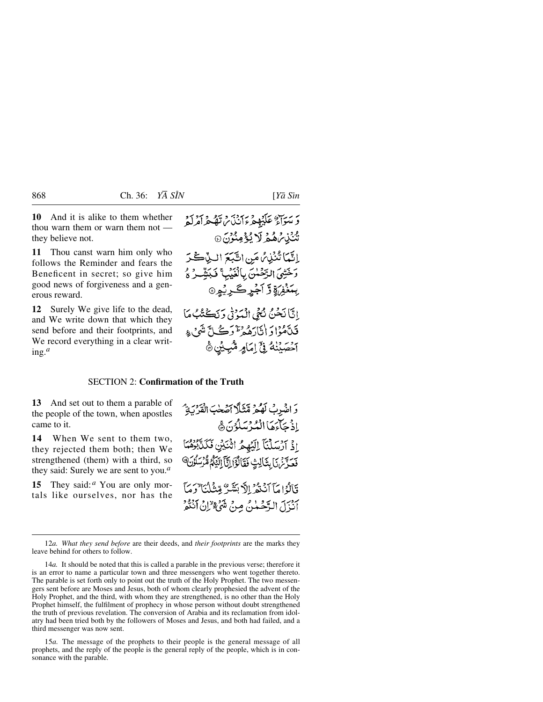**10** And it is alike to them whether thou warn them or warn them not they believe not.

**11** Thou canst warn him only who follows the Reminder and fears the Beneficent in secret; so give him good news of forgiveness and a generous reward.

**12** Surely We give life to the dead, and We write down that which they send before and their footprints, and We record everything in a clear writing.*<sup>a</sup>*

# يرسون عَلَيْهِ مِرْءَ دَبِنِهِ مِنْ تَصْعُرُاَهُ لَهُ شُنْبُابِرُهُمُ لَا يُؤْمِنُونَ۞ إِنَّمَا تُنْذِبُرُ مَنِ اتَّبَعَ البِّيْحَةُ دَخَتْنِيَ الدَّحْمٰنَ بِالْغَيْبِ ۚ فَبَيَّتِيْرُ وُ بِبَغۡفِرۡوَقَ آجۡرِڪَرِيۡوِنَ إِنَّا نَحْنُ نُّهْى الْمَوْتِي وَنَكُتُبُ مَا فَلَأَمُوْا دَ إِنَّارَهُ وَتَرْدَثَ كُلَّ نَنُهُ ۚ عِ آَحْصَيْنَهُ فِيَّ إِمَامِرِ مُثْبِيْنِ ﴾

#### SECTION 2: **Confirmation of the Truth**

**13** And set out to them a parable of the people of the town, when apostles came to it.

**14** When We sent to them two, they rejected them both; then We strengthened (them) with a third, so they said: Surely we are sent to you.*<sup>a</sup>*

**15** They said:<sup>*a*</sup> You are only mortals like ourselves, nor has the وَاضْرِبْ لَهُمْ مَّنْثَلًا أَصْحٰبَ الْقَرْبَةِ ۖ إِذْ حَبَاحِهَا الْمُدْ يَسْلُوْنَ هَي اِذْ آرْسَلْنَآ إِلَيْهِمُ اثْنَيْنِ فَكَلَّابُوْهُمَا فَعَدَّثَنَ إِنَّالِثٍ فَقَالُوْٓالِّيَّآ إِلَيْٰٓاءُ مُّرْسَلُوۡنَ ۚ وَبَالُهُ إِيمَآ آنَنَهُمْ إِلَّا مَنَشَرٌ مِّتَنَايُهُمْ لَهُ مِنَا آنْزَلَ الدَّحْمٰنُ مِنْ شَيْءٌ إِنْ آنَنْهُ

12*a. What they send before* are their deeds, and *their footprints* are the marks they leave behind for others to follow.

14*a.* It should be noted that this is called a parable in the previous verse; therefore it is an error to name a particular town and three messengers who went together thereto. The parable is set forth only to point out the truth of the Holy Prophet. The two messengers sent before are Moses and Jesus, both of whom clearly prophesied the advent of the Holy Prophet, and the third, with whom they are strengthened, is no other than the Holy Prophet himself, the fulfilment of prophecy in whose person without doubt strengthened the truth of previous revelation. The conversion of Arabia and its reclamation from idolatry had been tried both by the followers of Moses and Jesus, and both had failed, and a third messenger was now sent.

15*a.* The message of the prophets to their people is the general message of all prophets, and the reply of the people is the general reply of the people, which is in consonance with the parable.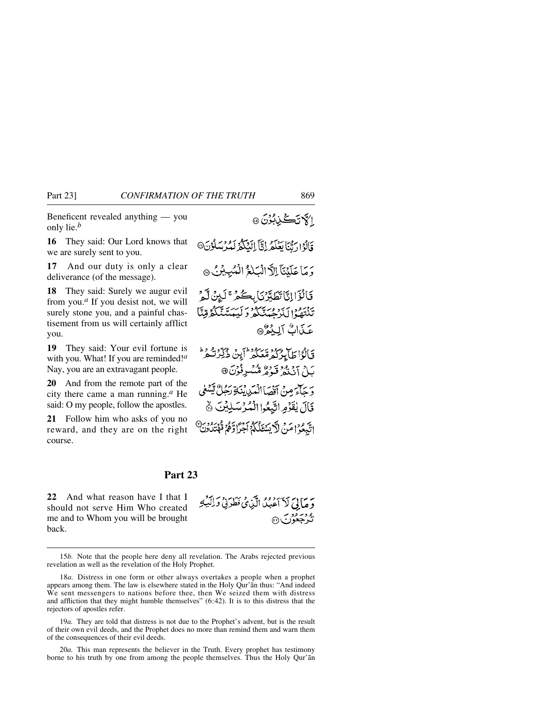Beneficent revealed anything — you only lie.*<sup>b</sup>*

**16** They said: Our Lord knows that we are surely sent to you.

**17** And our duty is only a clear deliverance (of the message).

**18** They said: Surely we augur evil from you.*<sup>a</sup>* If you desist not, we will surely stone you, and a painful chastisement from us will certainly afflict you.

**19** They said: Your evil fortune is with you. What! If you are reminded!*<sup>a</sup>* Nay, you are an extravagant people.

**20** And from the remote part of the city there came a man running.*<sup>a</sup>* He said: O my people, follow the apostles.

**21** Follow him who asks of you no reward, and they are on the right course.

قَالُوْ ارَيَّنَا يَعْلَمُ إِنَّآ إِلَيْكُمُّ لَمُدْيَسَلُوْنَ® دَ مَا عَلَيْنَآ بِالْأَ الْسَلَغُ الْمُبِيشِكُ ۞ فَالْؤَاإِنَّا تَطَدَّنَ بِحَكْمِرٌ ۚ لَيِنۡ لَّهِمۡ تِنْتَهُمُوْلِ بَدَوْمُ بِيَنَكُمْ وَ أَيْبَعَدْ بِيَنَكُمْ قِنَّا عَذَابٌ آلِيُوْ® فَبَالُوۡاٰ طَالِدُکُمۡ مُّعَکُمۡ ۖ أَبِنۡ ذُکِّرَتُـٰمَرُ ۖ بَلْ آنْنْهُ قَوْمٌ مُّسْرِنُوْنَ @ برسل مرمزستي المكيانية رحلاً تينيغي قَالَ يُقَوِّمِ اتَّبِعُوا الْمُرْسَلِيْنَ ﴾ اتَّبِعُوْ اعْدِبْرِ لَٱ يَبْتَغَلُّكُمُ أَجْرًا وَهُمْ مُهْتِدُونِ۞

#### **Part 23**

**22** And what reason have I that I should not serve Him Who created me and to Whom you will be brought back.

وَ مَا لِيَ لَآ أَعۡبُدُ الَّيۡنِيُ فَطَدَنِيۡ وَلِلۡبَٰٓءِ نه دسرودب<br>نگرې<del>خص</del>ورب

15*b.* Note that the people here deny all revelation. The Arabs rejected previous revelation as well as the revelation of the Holy Prophet.

19*a.* They are told that distress is not due to the Prophet's advent, but is the result of their own evil deeds, and the Prophet does no more than remind them and warn them of the consequences of their evil deeds.

20*a.* This man represents the believer in the Truth. Every prophet has testimony borne to his truth by one from among the people themselves. Thus the Holy Qur'ån

ا كانككي بُوْنَ٥

<sup>18</sup>*a.* Distress in one form or other always overtakes a people when a prophet appears among them. The law is elsewhere stated in the Holy Qur'ån thus: "And indeed We sent messengers to nations before thee, then We seized them with distress and affliction that they might humble themselves" (6:42). It is to this distress that the rejectors of apostles refer.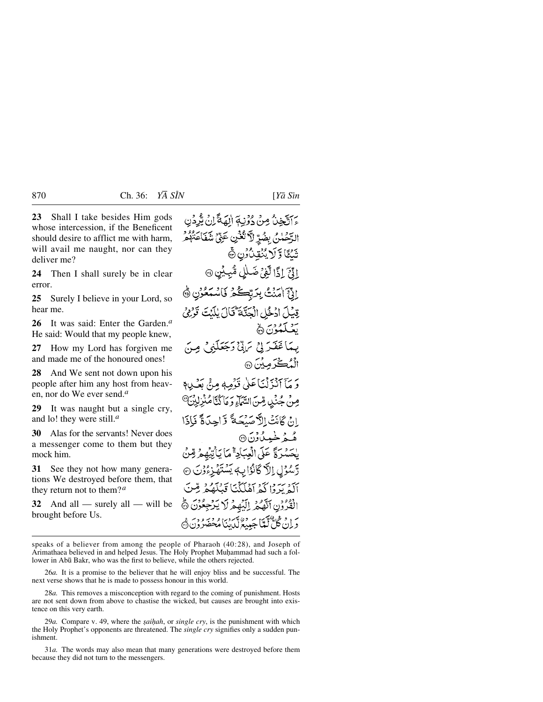**23** Shall I take besides Him gods whose intercession, if the Beneficent should desire to afflict me with harm, will avail me naught, nor can they deliver me?

**24** Then I shall surely be in clear error.

**25** Surely I believe in your Lord, so hear me.

**26** It was said: Enter the Garden.*<sup>a</sup>* He said: Would that my people knew,

**27** How my Lord has forgiven me and made me of the honoured ones!

**28** And We sent not down upon his people after him any host from heaven, nor do We ever send.*<sup>a</sup>*

**29** It was naught but a single cry, and lo! they were still.*<sup>a</sup>*

**30** Alas for the servants! Never does a messenger come to them but they mock him.

**31** See they not how many generations We destroyed before them, that they return not to them?*<sup>a</sup>*

**32** And all — surely all — will be brought before Us.

٢ آتَّخِنُّ مِنْ دُوْنِهَ إِلَهَةً إِنْ يُّرِدُنِ الرَّحَمْنُ بِضُرٍّ لَا تُعۡنِ عَنِّيۡ شَفَاعَتُهُمْ شَئَاً وَلَا يُنْقِدْ ُونِ ۞ ادِّعَ إِذًا لَّغِيْ ضَلَلٍ مُّبِيِّنٍ ۞ ادَّعَ اٰمَنۡتُ بِرَبِّڪُمۡ فَاسْمَعُوۡن ﴾ قِبْلَ ادْخُلِ الْحَدَّةَ قَالَ بِلَيْتَ قَوْفِي تَصَلَّعُوْنَ ۞ بِيمَا غَفَيْرَ لِيُّ تَرَبَّيْ رَجْعَلَنِيٌّ مِ الْمُكْدَمِيْنَ ۞ يَرْسَمَ بِرَبْهِ كَانَ قَوْمِهِ مِنْيَ بَعْثِيهِ؟ صِنْ جُنُّدِ مِّنَ السَّمَاءِ وَ مَا َكُنَّا مُنْزِلِيْنَ ﴾ إِنْ ݣَانَتْ الْأَصَيْحَةَ وَّاحِدَةً فَإِذَا ه خر خوس گردن<br>ه خر خوس گردن <sup>6</sup>0 لِحَسْدَةً عَلَى الْعِبَادِةَ مَا يَأْتِيْهِمْ قِنْ رَّسُوۡڸِ إِلَاۡ كَانُوۡالِهِ بِسُنَّهَٰٓ زِءُوۡنَ ۞ أَكَدْ يَدَدَّا كَمْ أَهْلَكْنَا قِيلَكُمْ مِّنَ الْقُرُوْنِ ٱلْهَكْثَرِ لِلَّيْهِمْ لَا يَرْجِعُوْنَ ۞ س و هم پیم بر ورسی در وجود ورغ<br>دیان گل لماجیبیع لباینا مخضرون ک

speaks of a believer from among the people of Pharaoh (40:28), and Joseph of Arimathaea believed in and helped Jesus. The Holy Prophet Muhammad had such a follower in Abū Bakr, who was the first to believe, while the others rejected.

26*a.* It is a promise to the believer that he will enjoy bliss and be successful. The next verse shows that he is made to possess honour in this world.

28*a.* This removes a misconception with regard to the coming of punishment. Hosts are not sent down from above to chastise the wicked, but causes are brought into existence on this very earth.

29*a*. Compare v. 49, where the *saihah*, or *single cry*, is the punishment with which the Holy Prophet's opponents are threatened. The *single cry* signifies only a sudden punishment.

31*a.* The words may also mean that many generations were destroyed before them because they did not turn to the messengers.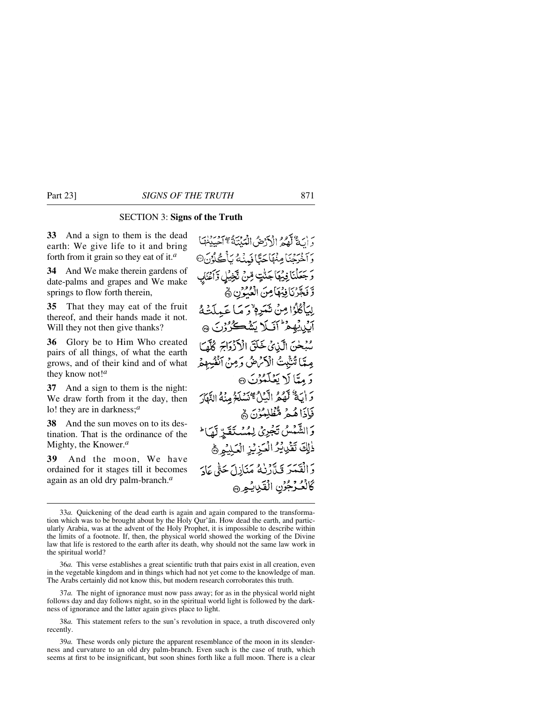#### SECTION 3: **Signs of the Truth**

**33** And a sign to them is the dead earth: We give life to it and bring forth from it grain so they eat of it.*<sup>a</sup>*

**34** And We make therein gardens of date-palms and grapes and We make springs to flow forth therein,

**35** That they may eat of the fruit thereof, and their hands made it not. Will they not then give thanks?

**36** Glory be to Him Who created pairs of all things, of what the earth grows, and of their kind and of what they know not!*<sup>a</sup>*

**37** And a sign to them is the night: We draw forth from it the day, then lo! they are in darkness;*<sup>a</sup>*

**38** And the sun moves on to its destination. That is the ordinance of the Mighty, the Knower.*<sup>a</sup>*

**39** And the moon, We have ordained for it stages till it becomes again as an old dry palm-branch.*<sup>a</sup>*

يرن وَيَوْمٍ الْمَرْضُ الْمَدِينَةُ مَجْ مَصْلَاتِهَا وَآخَرِجْنَا مِنْهَاجَدًّا فَهِنْهُ يَأْكُوُنَ<sup>0</sup> وَجَعَلْنَا فِيهِمَا جَنَّتٍ قِنْ تَجْنِيلِ وَأَعْنَابِ وَّ فَجَّرْنَا فِيُهَامِنَ الْعُبُوْنِ ﴾ لِيَأْكُلُوْا مِنْ ثَمَرِمْ وَمَا عَمِلَتْهُ آيي يُهِمْ أَنَّلَا يَشْكُرُوْنَ ٢ سُبْحٰنَ الَّذِينَ خَلَقَ الْأَزْرَاجَ كُلَّمَا مِمَّا تُنْبِيتُ الْأَمْرَضُ وَمِنْ الْفُرِهِمْ وَمِيًّا لَا يَعْلَمُوْنَ ۞ وَ أَيَةٌ لَّهُمُّ الَّيۡلُّ مَسۡلَوۡ مِنۡهُ النَّهَارَ فَإِذَاهُمْ مُّظْلِمُوْنَ ۿ وَالشَّمْسُ تَجْرِيْ لِمُسْتَقَرِّ لَهَا \* ذٰلِكَ تَقْدِيْرُ الْعَزِيْزِ الْعَلِيْمِرُ وَالْقَيْدَ وَيَدَدْرُهُ مَنَازِلَ حَتَّى عَادَ كَالْعُكْرَجُوْنِ الْقَلِيدِ،

37*a.* The night of ignorance must now pass away; for as in the physical world night follows day and day follows night, so in the spiritual world light is followed by the darkness of ignorance and the latter again gives place to light.

<sup>33</sup>*a.* Quickening of the dead earth is again and again compared to the transformation which was to be brought about by the Holy Qur'ån. How dead the earth, and particularly Arabia, was at the advent of the Holy Prophet, it is impossible to describe within the limits of a footnote. If, then, the physical world showed the working of the Divine law that life is restored to the earth after its death, why should not the same law work in the spiritual world?

<sup>36</sup>*a.* This verse establishes a great scientific truth that pairs exist in all creation, even in the vegetable kingdom and in things which had not yet come to the knowledge of man. The Arabs certainly did not know this, but modern research corroborates this truth.

<sup>38</sup>*a.* This statement refers to the sun's revolution in space, a truth discovered only recently.

<sup>39</sup>*a.* These words only picture the apparent resemblance of the moon in its slenderness and curvature to an old dry palm-branch. Even such is the case of truth, which seems at first to be insignificant, but soon shines forth like a full moon. There is a clear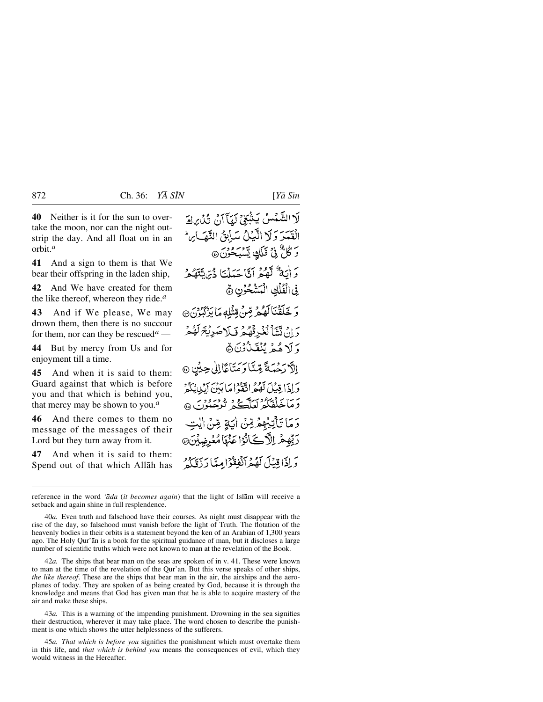**40** Neither is it for the sun to overtake the moon, nor can the night outstrip the day. And all float on in an orbit.*<sup>a</sup>*

**41** And a sign to them is that We bear their offspring in the laden ship,

**42** And We have created for them the like thereof, whereon they ride.*<sup>a</sup>*

**43** And if We please, We may drown them, then there is no succour for them, nor can they be rescued<sup>*a*</sup> —

**44** But by mercy from Us and for enjoyment till a time.

**45** And when it is said to them: Guard against that which is before you and that which is behind you, that mercy may be shown to you.*<sup>a</sup>*

**46** And there comes to them no message of the messages of their Lord but they turn away from it.

**47** And when it is said to them: Spend out of that which Allåh has

لَا الشَّمْسُ يَشْعَى لَهَا آنَ ثُلُّ مِالَ الْقَسَرَ وَلَا الَّذِلُ سَأِبِقُ النَّهَايِنَ رَ ݣُلٌّ فِي فَلَكٍ يَسْبَحْزَنَ@ وَ أَيَةٌ لَّهُمْ آَنَّا حَمَلْنَا ذُيَّايَّتَهُمْ في الْفُلْكِ الْمَشْحُوْنِ ﴾ ر خَلَقْنَالَهُمْ مِّنْ قِتْلِهِمَا يَرْبَّنُونَ@ وَإِنْ تَتَنَآأَ نُغۡدِقۡهُمۡ وَيَلَاهَبُرِيۡ مَهُمۡمُ وَ لَا هُمْ يُنْقَبْأُوْنَ ﴾ إِلَّا رَحْمَةً مِّنَّا وَمَتَاعًا إِلَى حِيْنٍ @ وَإِذَا قِيلَ لَهُمُ اتَّقَوْامَا بَيْنَ أَبِدِي بِهُ ۚ دَمَاخَذْنِگُوْنَ لَعَالَمَتُ ثَرْجَبُوْنَ ۞ رَمَا تَأْتِيْهِمْ قِنْ ايَةٍ قِنْ ايْتِ رَبِّهِمْ إِلَّا كَأَنُوْا عَنْهَا مُعْرِضِيْنَ@ وَلِذَاقِيْلَ لَهُمْ آنْفِقْوُامِيّاً رَزِّيَكُمْ

reference in the word *'åda* (*it becomes again*) that the light of Islåm will receive a setback and again shine in full resplendence.

40*a.* Even truth and falsehood have their courses. As night must disappear with the rise of the day, so falsehood must vanish before the light of Truth. The flotation of the heavenly bodies in their orbits is a statement beyond the ken of an Arabian of 1,300 years ago. The Holy Qur'ån is a book for the spiritual guidance of man, but it discloses a large number of scientific truths which were not known to man at the revelation of the Book.

42*a.* The ships that bear man on the seas are spoken of in v. 41. These were known to man at the time of the revelation of the Qur'ån. But this verse speaks of other ships, *the like thereof.* These are the ships that bear man in the air, the airships and the aeroplanes of today. They are spoken of as being created by God, because it is through the knowledge and means that God has given man that he is able to acquire mastery of the air and make these ships.

43*a.* This is a warning of the impending punishment. Drowning in the sea signifies their destruction, wherever it may take place. The word chosen to describe the punishment is one which shows the utter helplessness of the sufferers.

45*a. That which is before you* signifies the punishment which must overtake them in this life, and *that which is behind you* means the consequences of evil, which they would witness in the Hereafter.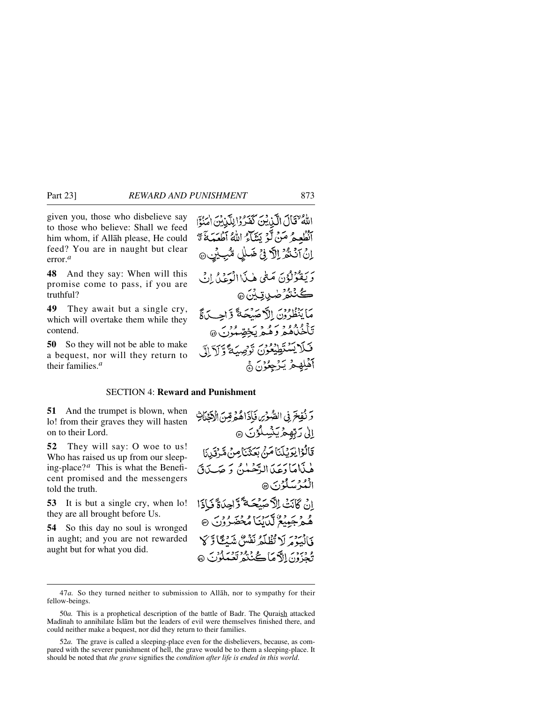given you, those who disbelieve say to those who believe: Shall we feed him whom, if Allåh please, He could feed? You are in naught but clear error.*<sup>a</sup>*

**48** And they say: When will this promise come to pass, if you are truthful?

**49** They await but a single cry, which will overtake them while they contend.

**50** So they will not be able to make a bequest, nor will they return to their families.*<sup>a</sup>*

اللهُ فَقَالَ الَّذِينَ كَفَرُوْا لِلَّذِينَ امْنُوَّا انْظُعِمُ مَنْ لَوْ يَشَاءُ اللَّهُ آطْعَمَهُ مَّ اِنْ آَنْنُهُرُ اِلَّا فِيْ ضَلَٰلٍ مُّبِيِّنٍ بَرِيَفُوْلُوُنَ مَثْمَى هٰذَاالْوَعْدُ إِنِّي ڪُنٽُوُرُ <sub>صٰبا</sub>تِ بِنَ @ مَا يَنْظُرُوْنَ الْأَحْسَنْحَةَّ وَّاحِبِدَةً تأخيلهم وعرو و سخص مورس<br>تأخيلهم وهيمر يُخصِّبُونِ @ قَلَايَسْتَطِيْعُونَ تَوْصِيَةً وَّلَاَ إِلَى آهْلِهِحْرٌ يَزْحِعُوْنَ ﴾

#### SECTION 4: **Reward and Punishment**

**51** And the trumpet is blown, when lo! from their graves they will hasten on to their Lord.

**52** They will say: O woe to us! Who has raised us up from our sleeping-place?*<sup>a</sup>* This is what the Beneficent promised and the messengers told the truth.

**53** It is but a single cry, when lo! they are all brought before Us.

**54** So this day no soul is wronged in aught; and you are not rewarded aught but for what you did.

وَنُفِخَ فِي الصُّوْسِ فَإِذَاهُمْ قِنَ الْآخَلَاتِ اِلِي رَبِّهِمْ يَنْسِلُوْنَ ۞ قَالُوْا يْرَيْلَنَا مَنْ بَعَثْنَاصِنْ مَّرْقَرِنَا هٰذَامَا دَعَدَ الدَّحْمٰنُ وَ صَدَدَقَ الْمُدْسَلُوْنَ @ إِنْ ݣَانَتْ الْأَصَلْحَةَّ وَّاحِدَةً فَإِذَا ه<br>هُمُ جَمِيْعُ لَّكَايَنَا مُحْضَرُوْنَ ۞ وَالْبَدْمَ لَا تُظْلَمُ نَفْسٌ تَدَمِّعًا وَّلَا ه وبردن ال**آهيا ڪُ**ننده تعبيدون هو

<sup>47</sup>*a.* So they turned neither to submission to Allåh, nor to sympathy for their fellow-beings.

<sup>50</sup>*a.* This is a prophetical description of the battle of Badr. The Quraish attacked Madinah to annihilate Islam but the leaders of evil were themselves finished there, and could neither make a bequest, nor did they return to their families.

<sup>52</sup>*a.* The grave is called a sleeping-place even for the disbelievers, because, as compared with the severer punishment of hell, the grave would be to them a sleeping-place. It should be noted that *the grave* signifies the *condition after life is ended in this world*.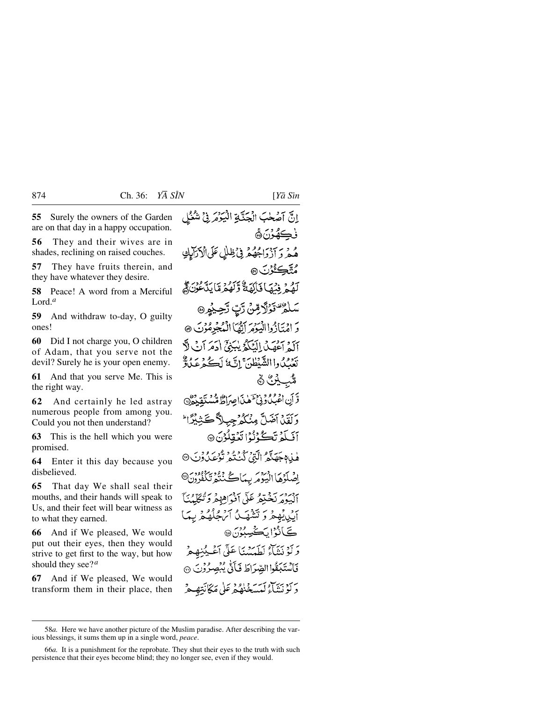**55** Surely the owners of the Garden are on that day in a happy occupation.

**56** They and their wives are in shades, reclining on raised couches.

**57** They have fruits therein, and they have whatever they desire.

**58** Peace! A word from a Merciful Lord.*<sup>a</sup>*

**59** And withdraw to-day, O guilty ones!

**60** Did I not charge you, O children of Adam, that you serve not the devil? Surely he is your open enemy.

**61** And that you serve Me. This is the right way.

**62** And certainly he led astray numerous people from among you. Could you not then understand?

**63** This is the hell which you were promised.

**64** Enter it this day because you disbelieved.

**65** That day We shall seal their mouths, and their hands will speak to Us, and their feet will bear witness as to what they earned.

**66** And if We pleased, We would put out their eyes, then they would strive to get first to the way, but how should they see?*<sup>a</sup>*

**67** And if We pleased, We would transform them in their place, then إِنَّ آصْحٰبَ الْجَنَّةِ الْبَوْتَرَ فِي شُعْلِي فڪهُوَنَ® هُ هُ دِ ٦ دَ دَاجُهُهُمْ فِيْ ظِلْلِ عَلَى الْإِرْالِي مُتَّڪِئُرُنَ® لَّهُ - فِيَمَا فَأَلَّمَهُ وَلَهُمْ مَّا يَدَّءُنَ ﴾ وَتَفْتَوْلَا مِّنْ رَّبِّ رَّحِيمُ ۞ رَ امۡتَأَزُواالۡيَوۡمَ ٱتۡهُمَّاالۡمُجۡدِمُوۡتَ ۞ آلَهُ آَهَهَبُ الْمَكَّوُ يٰبَنِيُّ (دَمَرَ آبُ لَّا بَعْدِهِ مِنْ وَااللَّهَ يَطُنَّ إِنَّ مَا لَڪُ دِعِيدٌ وَ ۿؙٮٜ؉ۣػ۠۞ وَّ أَنِ اعْبُدُونِيَّ آهٰنَ اصِرَاطٌ مُّسَتَقِيْدُنَّ وَلَقَيْنَ آضَلَّ مِنْكُمُ جِبِلاً كَثِيْبِيًّا ۖ أَفَىكُمْ تَكُوُنُوْا تَعُقِلُوْنَ ۞ هٰبِدْہِ جَهَنَّهُ الَّتِي كُنْتُهُ تُوْعَبُدُوْنَ ۞ اضْلَوْهَا الْبَيْوَمَرِ بِيمَاكُ نُنْتُمْ تَكَفُّدُونَ® البوه بَخْدَهُ عَلَى أَفْوَاهِ هُمْ دَنْتَكَلّْمُنَاً أَبِي يُهِجْرُ وَتَشْهَبُ أَيْنِ كَانَ الْمُتَحَلِّهُ مِنْ بِهَا ڪَانُوُا پُڪُسِبُو*نَ*۞ وَلَوْ نَيْئَاءُ لَطَيَتِيْنَا عَلَى أَعْيِبُنِهِ مِرْ فَأَسْتَبَقُوا الصِّرَاطَ فَأَتَّى يُبْصِرُوْنَ ۞ ىرى بېرىدىن ئەسىردا دې<br>د لوېتناء كېسىغىنۇ ئىرغلى ئىكانتەھ

<sup>58</sup>*a.* Here we have another picture of the Muslim paradise. After describing the various blessings, it sums them up in a single word, *peace*.

<sup>66</sup>*a.* It is a punishment for the reprobate. They shut their eyes to the truth with such persistence that their eyes become blind; they no longer see, even if they would.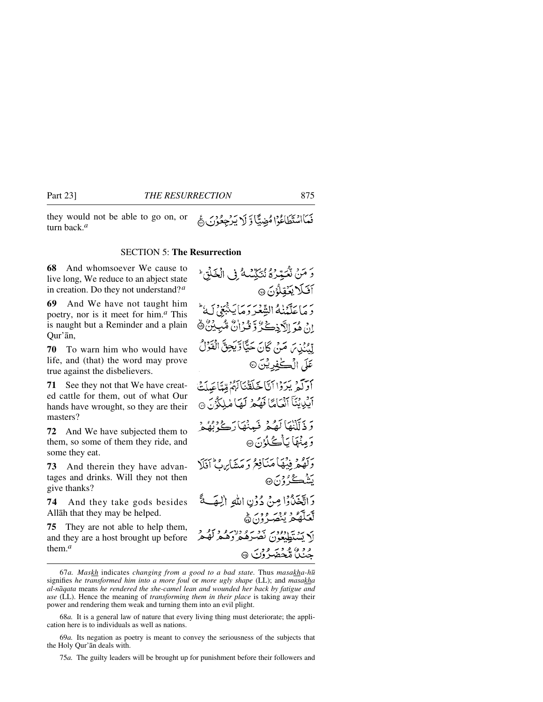they would not be able to go on, or turn back.*<sup>a</sup>*

نَعَااسُتَطَاعُوْا مُضِيًّا وَ لَا يَرْجِعُونَ

#### SECTION 5: **The Resurrection**

**68** And whomsoever We cause to live long, We reduce to an abject state in creation. Do they not understand?*<sup>a</sup>*

**69** And We have not taught him poetry, nor is it meet for him.*<sup>a</sup>* This is naught but a Reminder and a plain Qur'ån,

**70** To warn him who would have life, and (that) the word may prove true against the disbelievers.

**71** See they not that We have created cattle for them, out of what Our hands have wrought, so they are their masters?

**72** And We have subjected them to them, so some of them they ride, and some they eat.

**73** And therein they have advantages and drinks. Will they not then give thanks?

**74** And they take gods besides Allåh that they may be helped.

**75** They are not able to help them, and they are a host brought up before them.*<sup>a</sup>*

وَ مَنْ نْكَيْرْدُهُ نْنَكِّيْمْهُ فِي الْغَلْقِ ۚ آفكا يكفِلُونَ @ رَ مَا عَلَّمۡنٰهُ الشَّعْرَ وَمَا يَنْبَعَى لَهُ نْ هُمَ الْكَرْكَةُ وَ قُدْرَانٌ مُّبِيْنٌ ۞ لِّيْنَٰنِينَ مَنْ كَانَ حَيَّا وَّيَجِنَّ الْقَرْلُ عَلَى الۡڪٰفِدِيۡنَ۞ أَدَلَّتُمْ يَرَدْا أَنَّا خَلَقْنَاكُمْ قِيَّاعَيلَتْ آيْدِينَنَآ آنْيَامًا فَهُمْ لَهَا مْلِكُوْنَ ۞ دَ ذَلَكْنَاهَا لَصْعَرْ فَبِهِنْهَا دَكْ نَقُدْهُ وَمِنْهَا يَأْكُلُوْنَ® وَلَهُمْ فِيْهَاْ مَنَافِعُ وَمَشَابِهِ فِي أَفَلَا بَش<del>ڪُ</del>رُ وَنَ @ دَاتَّخَذُوْا مِنْ دُوْنِ اللهِ الْهَ عَلَيَّ و د سره<br>پر ون ه أم يَسْتَطْبَعُونَ بِمَعْرَهُ وَلَا وَ وَلَوْ لَهُ وَلَ عرفر وي ماركس<br>جنگ ملحضر وك

<sup>67</sup>*a. Maskh* indicates *changing from a good to a bad state.* Thus *masakha-h∂* signifies *he transformed him into a more foul* or *more ugly shape* (LL); and *masakha al-nåqata* means *he rendered the she-camel lean and wounded her back by fatigue and use* (LL). Hence the meaning of *transforming them in their place* is taking away their power and rendering them weak and turning them into an evil plight.

<sup>68</sup>*a.* It is a general law of nature that every living thing must deteriorate; the application here is to individuals as well as nations.

<sup>69</sup>*a.* Its negation as poetry is meant to convey the seriousness of the subjects that the Holy Qur'ån deals with.

<sup>75</sup>*a.* The guilty leaders will be brought up for punishment before their followers and